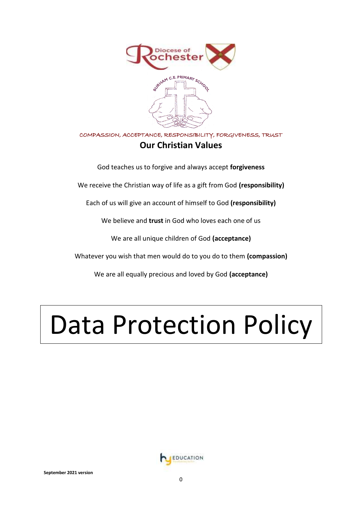

# COMPASSION, ACCEPTANCE, RESPONSIBILITY, FORGIVENESS, TRUST **Our Christian Values**

God teaches us to forgive and always accept **forgiveness**

We receive the Christian way of life as a gift from God **(responsibility)**

Each of us will give an account of himself to God **(responsibility)**

We believe and **trust** in God who loves each one of us

We are all unique children of God **(acceptance)**

Whatever you wish that men would do to you do to them **(compassion)**

We are all equally precious and loved by God **(acceptance)**

# Data Protection Policy

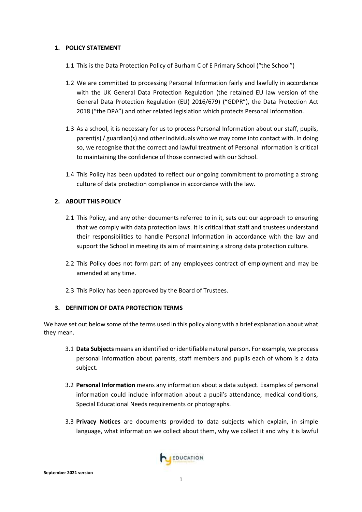# **1. POLICY STATEMENT**

- 1.1 This is the Data Protection Policy of Burham C of E Primary School ("the School")
- 1.2 We are committed to processing Personal Information fairly and lawfully in accordance with the UK General Data Protection Regulation (the retained EU law version of the General Data Protection Regulation (EU) 2016/679) ("GDPR"), the Data Protection Act 2018 ("the DPA") and other related legislation which protects Personal Information.
- 1.3 As a school, it is necessary for us to process Personal Information about our staff, pupils, parent(s) / guardian(s) and other individuals who we may come into contact with. In doing so, we recognise that the correct and lawful treatment of Personal Information is critical to maintaining the confidence of those connected with our School.
- 1.4 This Policy has been updated to reflect our ongoing commitment to promoting a strong culture of data protection compliance in accordance with the law.

# **2. ABOUT THIS POLICY**

- 2.1 This Policy, and any other documents referred to in it, sets out our approach to ensuring that we comply with data protection laws. It is critical that staff and trustees understand their responsibilities to handle Personal Information in accordance with the law and support the School in meeting its aim of maintaining a strong data protection culture.
- 2.2 This Policy does not form part of any employees contract of employment and may be amended at any time.
- 2.3 This Policy has been approved by the Board of Trustees.

# **3. DEFINITION OF DATA PROTECTION TERMS**

We have set out below some of the terms used in this policy along with a brief explanation about what they mean.

- 3.1 **Data Subjects** means an identified or identifiable natural person. For example, we process personal information about parents, staff members and pupils each of whom is a data subject.
- 3.2 **Personal Information** means any information about a data subject. Examples of personal information could include information about a pupil's attendance, medical conditions, Special Educational Needs requirements or photographs.
- 3.3 **Privacy Notices** are documents provided to data subjects which explain, in simple language, what information we collect about them, why we collect it and why it is lawful

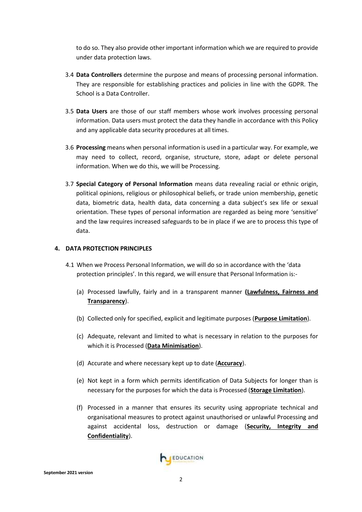to do so. They also provide other important information which we are required to provide under data protection laws.

- 3.4 **Data Controllers** determine the purpose and means of processing personal information. They are responsible for establishing practices and policies in line with the GDPR. The School is a Data Controller.
- 3.5 **Data Users** are those of our staff members whose work involves processing personal information. Data users must protect the data they handle in accordance with this Policy and any applicable data security procedures at all times.
- 3.6 **Processing** means when personal information is used in a particular way. For example, we may need to collect, record, organise, structure, store, adapt or delete personal information. When we do this, we will be Processing.
- 3.7 **Special Category of Personal Information** means data revealing racial or ethnic origin, political opinions, religious or philosophical beliefs, or trade union membership, genetic data, biometric data, health data, data concerning a data subject's sex life or sexual orientation. These types of personal information are regarded as being more 'sensitive' and the law requires increased safeguards to be in place if we are to process this type of data.

# **4. DATA PROTECTION PRINCIPLES**

- 4.1 When we Process Personal Information, we will do so in accordance with the 'data protection principles'. In this regard, we will ensure that Personal Information is:-
	- (a) Processed lawfully, fairly and in a transparent manner **(Lawfulness, Fairness and Transparency**).
	- (b) Collected only for specified, explicit and legitimate purposes (**Purpose Limitation**).
	- (c) Adequate, relevant and limited to what is necessary in relation to the purposes for which it is Processed (**Data Minimisation**).
	- (d) Accurate and where necessary kept up to date (**Accuracy**).
	- (e) Not kept in a form which permits identification of Data Subjects for longer than is necessary for the purposes for which the data is Processed (**Storage Limitation**).
	- (f) Processed in a manner that ensures its security using appropriate technical and organisational measures to protect against unauthorised or unlawful Processing and against accidental loss, destruction or damage (**Security, Integrity and Confidentiality**).

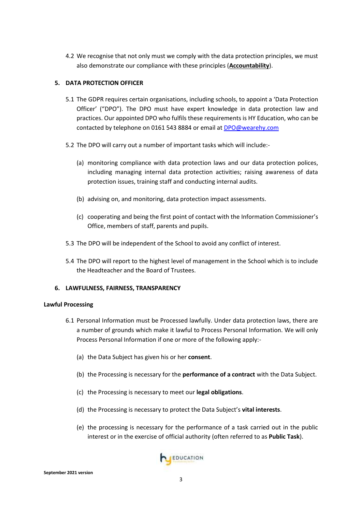4.2 We recognise that not only must we comply with the data protection principles, we must also demonstrate our compliance with these principles (**Accountability**).

# **5. DATA PROTECTION OFFICER**

- 5.1 The GDPR requires certain organisations, including schools, to appoint a 'Data Protection Officer' ("DPO"). The DPO must have expert knowledge in data protection law and practices. Our appointed DPO who fulfils these requirements is HY Education, who can be contacted by telephone on 0161 543 8884 or email at **DPO@wearehy.com**
- 5.2 The DPO will carry out a number of important tasks which will include:-
	- (a) monitoring compliance with data protection laws and our data protection polices, including managing internal data protection activities; raising awareness of data protection issues, training staff and conducting internal audits.
	- (b) advising on, and monitoring, data protection impact assessments.
	- (c) cooperating and being the first point of contact with the Information Commissioner's Office, members of staff, parents and pupils.
- 5.3 The DPO will be independent of the School to avoid any conflict of interest.
- 5.4 The DPO will report to the highest level of management in the School which is to include the Headteacher and the Board of Trustees.

#### **6. LAWFULNESS, FAIRNESS, TRANSPARENCY**

#### <span id="page-3-0"></span>**Lawful Processing**

- 6.1 Personal Information must be Processed lawfully. Under data protection laws, there are a number of grounds which make it lawful to Process Personal Information. We will only Process Personal Information if one or more of the following apply:-
	- (a) the Data Subject has given his or her **consent**.
	- (b) the Processing is necessary for the **performance of a contract** with the Data Subject.
	- (c) the Processing is necessary to meet our **legal obligations**.
	- (d) the Processing is necessary to protect the Data Subject's **vital interests**.
	- (e) the processing is necessary for the performance of a task carried out in the public interest or in the exercise of official authority (often referred to as **Public Task**).

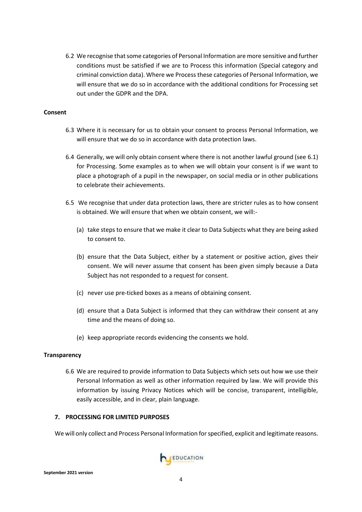6.2 We recognise that some categories of Personal Information are more sensitive and further conditions must be satisfied if we are to Process this information (Special category and criminal conviction data). Where we Process these categories of Personal Information, we will ensure that we do so in accordance with the additional conditions for Processing set out under the GDPR and the DPA.

#### **Consent**

- 6.3 Where it is necessary for us to obtain your consent to process Personal Information, we will ensure that we do so in accordance with data protection laws.
- 6.4 Generally, we will only obtain consent where there is not another lawful ground (see [6.1\)](#page-3-0) for Processing. Some examples as to when we will obtain your consent is if we want to place a photograph of a pupil in the newspaper, on social media or in other publications to celebrate their achievements.
- 6.5 We recognise that under data protection laws, there are stricter rules as to how consent is obtained. We will ensure that when we obtain consent, we will:-
	- (a) take steps to ensure that we make it clear to Data Subjects what they are being asked to consent to.
	- (b) ensure that the Data Subject, either by a statement or positive action, gives their consent. We will never assume that consent has been given simply because a Data Subject has not responded to a request for consent.
	- (c) never use pre-ticked boxes as a means of obtaining consent.
	- (d) ensure that a Data Subject is informed that they can withdraw their consent at any time and the means of doing so.
	- (e) keep appropriate records evidencing the consents we hold.

#### **Transparency**

6.6 We are required to provide information to Data Subjects which sets out how we use their Personal Information as well as other information required by law. We will provide this information by issuing Privacy Notices which will be concise, transparent, intelligible, easily accessible, and in clear, plain language.

#### **7. PROCESSING FOR LIMITED PURPOSES**

We will only collect and Process Personal Information for specified, explicit and legitimate reasons.

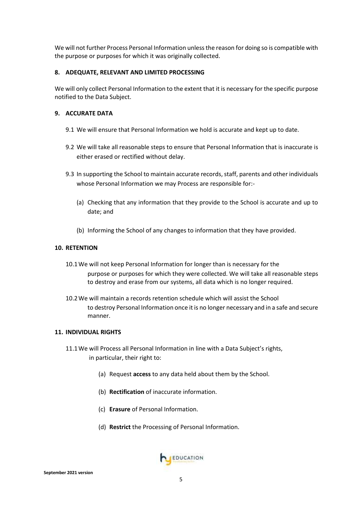We will not further Process Personal Information unless the reason for doing so is compatible with the purpose or purposes for which it was originally collected.

# **8. ADEQUATE, RELEVANT AND LIMITED PROCESSING**

We will only collect Personal Information to the extent that it is necessary for the specific purpose notified to the Data Subject.

# **9. ACCURATE DATA**

- 9.1 We will ensure that Personal Information we hold is accurate and kept up to date.
- 9.2 We will take all reasonable steps to ensure that Personal Information that is inaccurate is either erased or rectified without delay.
- 9.3 In supporting the School to maintain accurate records, staff, parents and other individuals whose Personal Information we may Process are responsible for:-
	- (a) Checking that any information that they provide to the School is accurate and up to date; and
	- (b) Informing the School of any changes to information that they have provided.

#### **10. RETENTION**

- 10.1We will not keep Personal Information for longer than is necessary for the purpose or purposes for which they were collected. We will take all reasonable steps to destroy and erase from our systems, all data which is no longer required.
- 10.2We will maintain a records retention schedule which will assist the School to destroy Personal Information once it is no longer necessary and in a safe and secure manner.

#### **11. INDIVIDUAL RIGHTS**

- 11.1We will Process all Personal Information in line with a Data Subject's rights, in particular, their right to:
	- (a) Request **access** to any data held about them by the School.
	- (b) **Rectification** of inaccurate information.
	- (c) **Erasure** of Personal Information.
	- (d) **Restrict** the Processing of Personal Information.

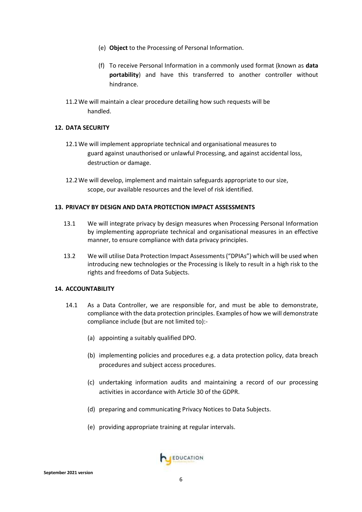- (e) **Object** to the Processing of Personal Information.
- (f) To receive Personal Information in a commonly used format (known as **data portability**) and have this transferred to another controller without hindrance.
- 11.2We will maintain a clear procedure detailing how such requests will be handled.

# **12. DATA SECURITY**

- 12.1We will implement appropriate technical and organisational measures to guard against unauthorised or unlawful Processing, and against accidental loss, destruction or damage.
- 12.2We will develop, implement and maintain safeguards appropriate to our size, scope, our available resources and the level of risk identified.

#### **13. PRIVACY BY DESIGN AND DATA PROTECTION IMPACT ASSESSMENTS**

- 13.1 We will integrate privacy by design measures when Processing Personal Information by implementing appropriate technical and organisational measures in an effective manner, to ensure compliance with data privacy principles.
- 13.2 We will utilise Data Protection Impact Assessments ("DPIAs") which will be used when introducing new technologies or the Processing is likely to result in a high risk to the rights and freedoms of Data Subjects.

#### **14. ACCOUNTABILITY**

- 14.1 As a Data Controller, we are responsible for, and must be able to demonstrate, compliance with the data protection principles. Examples of how we will demonstrate compliance include (but are not limited to):-
	- (a) appointing a suitably qualified DPO.
	- (b) implementing policies and procedures e.g. a data protection policy, data breach procedures and subject access procedures.
	- (c) undertaking information audits and maintaining a record of our processing activities in accordance with Article 30 of the GDPR.
	- (d) preparing and communicating Privacy Notices to Data Subjects.
	- (e) providing appropriate training at regular intervals.

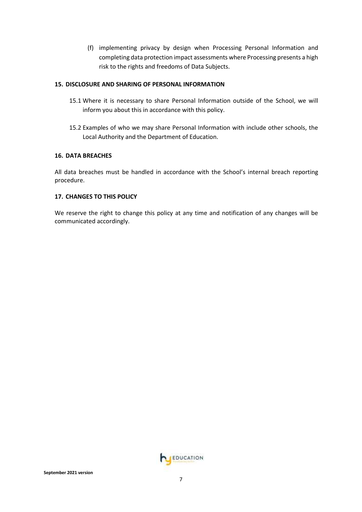(f) implementing privacy by design when Processing Personal Information and completing data protection impact assessments where Processing presents a high risk to the rights and freedoms of Data Subjects.

# **15. DISCLOSURE AND SHARING OF PERSONAL INFORMATION**

- 15.1 Where it is necessary to share Personal Information outside of the School, we will inform you about this in accordance with this policy.
- 15.2 Examples of who we may share Personal Information with include other schools, the Local Authority and the Department of Education.

# **16. DATA BREACHES**

All data breaches must be handled in accordance with the School's internal breach reporting procedure.

# **17. CHANGES TO THIS POLICY**

We reserve the right to change this policy at any time and notification of any changes will be communicated accordingly.

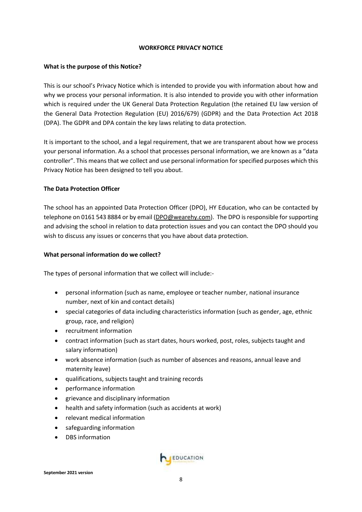#### **WORKFORCE PRIVACY NOTICE**

# **What is the purpose of this Notice?**

This is our school's Privacy Notice which is intended to provide you with information about how and why we process your personal information. It is also intended to provide you with other information which is required under the UK General Data Protection Regulation (the retained EU law version of the General Data Protection Regulation (EU) 2016/679) (GDPR) and the Data Protection Act 2018 (DPA). The GDPR and DPA contain the key laws relating to data protection.

It is important to the school, and a legal requirement, that we are transparent about how we process your personal information. As a school that processes personal information, we are known as a "data controller". This means that we collect and use personal information for specified purposes which this Privacy Notice has been designed to tell you about.

# **The Data Protection Officer**

The school has an appointed Data Protection Officer (DPO), HY Education, who can be contacted by telephone on 0161 543 8884 or by email [\(DPO@wearehy.com\)](mailto:DPO@wearehy.com). The DPO is responsible for supporting and advising the school in relation to data protection issues and you can contact the DPO should you wish to discuss any issues or concerns that you have about data protection.

# **What personal information do we collect?**

The types of personal information that we collect will include:-

- personal information (such as name, employee or teacher number, national insurance number, next of kin and contact details)
- special categories of data including characteristics information (such as gender, age, ethnic group, race, and religion)
- recruitment information
- contract information (such as start dates, hours worked, post, roles, subjects taught and salary information)
- work absence information (such as number of absences and reasons, annual leave and maternity leave)
- qualifications, subjects taught and training records
- performance information
- grievance and disciplinary information
- health and safety information (such as accidents at work)
- relevant medical information
- safeguarding information
- DBS information

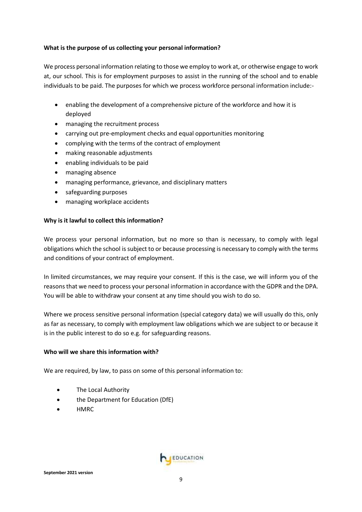# **What is the purpose of us collecting your personal information?**

We process personal information relating to those we employ to work at, or otherwise engage to work at, our school. This is for employment purposes to assist in the running of the school and to enable individuals to be paid. The purposes for which we process workforce personal information include:-

- enabling the development of a comprehensive picture of the workforce and how it is deployed
- managing the recruitment process
- carrying out pre-employment checks and equal opportunities monitoring
- complying with the terms of the contract of employment
- making reasonable adjustments
- enabling individuals to be paid
- managing absence
- managing performance, grievance, and disciplinary matters
- safeguarding purposes
- managing workplace accidents

# **Why is it lawful to collect this information?**

We process your personal information, but no more so than is necessary, to comply with legal obligations which the school is subject to or because processing is necessary to comply with the terms and conditions of your contract of employment.

In limited circumstances, we may require your consent. If this is the case, we will inform you of the reasons that we need to process your personal information in accordance with the GDPR and the DPA. You will be able to withdraw your consent at any time should you wish to do so.

Where we process sensitive personal information (special category data) we will usually do this, only as far as necessary, to comply with employment law obligations which we are subject to or because it is in the public interest to do so e.g. for safeguarding reasons.

#### **Who will we share this information with?**

We are required, by law, to pass on some of this personal information to:

- The Local Authority
- the Department for Education (DfE)
- HMRC

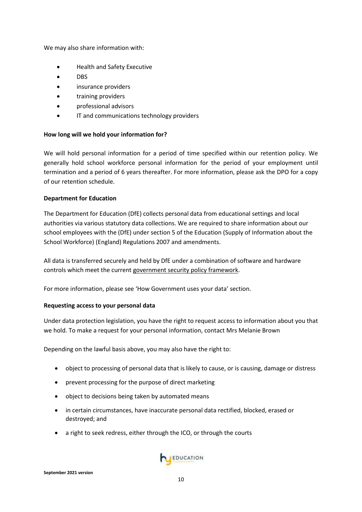We may also share information with:

- Health and Safety Executive
- DBS
- insurance providers
- training providers
- professional advisors
- IT and communications technology providers

#### **How long will we hold your information for?**

We will hold personal information for a period of time specified within our retention policy. We generally hold school workforce personal information for the period of your employment until termination and a period of 6 years thereafter. For more information, please ask the DPO for a copy of our retention schedule.

#### **Department for Education**

The Department for Education (DfE) collects personal data from educational settings and local authorities via various statutory data collections. We are required to share information about our school employees with the (DfE) under section 5 of the Education (Supply of Information about the School Workforce) (England) Regulations 2007 and amendments.

All data is transferred securely and held by DfE under a combination of software and hardware controls which meet the current [government security policy framework.](https://www.gov.uk/government/publications/security-policy-framework)

For more information, please see 'How Government uses your data' section.

#### **Requesting access to your personal data**

Under data protection legislation, you have the right to request access to information about you that we hold. To make a request for your personal information, contact Mrs Melanie Brown

Depending on the lawful basis above, you may also have the right to:

- object to processing of personal data that is likely to cause, or is causing, damage or distress
- prevent processing for the purpose of direct marketing
- object to decisions being taken by automated means
- in certain circumstances, have inaccurate personal data rectified, blocked, erased or destroyed; and
- a right to seek redress, either through the ICO, or through the courts

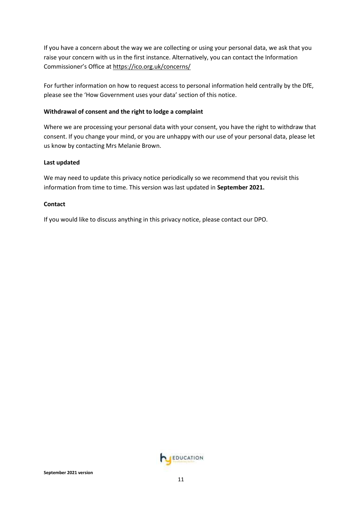If you have a concern about the way we are collecting or using your personal data, we ask that you raise your concern with us in the first instance. Alternatively, you can contact the Information Commissioner's Office at <https://ico.org.uk/concerns/>

For further information on how to request access to personal information held centrally by the DfE, please see the 'How Government uses your data' section of this notice.

# **Withdrawal of consent and the right to lodge a complaint**

Where we are processing your personal data with your consent, you have the right to withdraw that consent. If you change your mind, or you are unhappy with our use of your personal data, please let us know by contacting Mrs Melanie Brown.

#### **Last updated**

We may need to update this privacy notice periodically so we recommend that you revisit this information from time to time. This version was last updated in **September 2021.**

#### **Contact**

If you would like to discuss anything in this privacy notice, please contact our DPO.

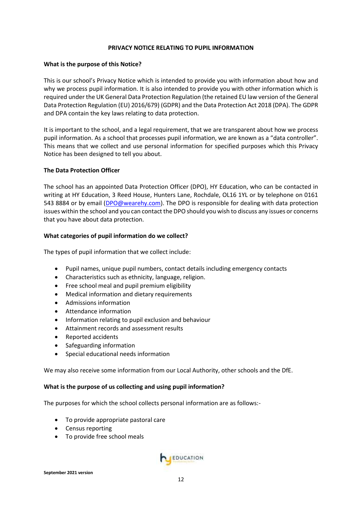#### **PRIVACY NOTICE RELATING TO PUPIL INFORMATION**

#### **What is the purpose of this Notice?**

This is our school's Privacy Notice which is intended to provide you with information about how and why we process pupil information. It is also intended to provide you with other information which is required under the UK General Data Protection Regulation (the retained EU law version of the General Data Protection Regulation (EU) 2016/679) (GDPR) and the Data Protection Act 2018 (DPA). The GDPR and DPA contain the key laws relating to data protection.

It is important to the school, and a legal requirement, that we are transparent about how we process pupil information. As a school that processes pupil information, we are known as a "data controller". This means that we collect and use personal information for specified purposes which this Privacy Notice has been designed to tell you about.

#### **The Data Protection Officer**

The school has an appointed Data Protection Officer (DPO), HY Education, who can be contacted in writing at HY Education, 3 Reed House, Hunters Lane, Rochdale, OL16 1YL or by telephone on 0161 543 8884 or by email [\(DPO@wearehy.com\)](mailto:DPO@wearehy.com). The DPO is responsible for dealing with data protection issues within the school and you can contact the DPO should you wish to discuss any issues or concerns that you have about data protection.

#### **What categories of pupil information do we collect?**

The types of pupil information that we collect include:

- Pupil names, unique pupil numbers, contact details including emergency contacts
- Characteristics such as ethnicity, language, religion.
- Free school meal and pupil premium eligibility
- Medical information and dietary requirements
- Admissions information
- Attendance information
- Information relating to pupil exclusion and behaviour
- Attainment records and assessment results
- Reported accidents
- Safeguarding information
- Special educational needs information

We may also receive some information from our Local Authority, other schools and the DfE.

#### **What is the purpose of us collecting and using pupil information?**

The purposes for which the school collects personal information are as follows:-

- To provide appropriate pastoral care
- Census reporting
- To provide free school meals

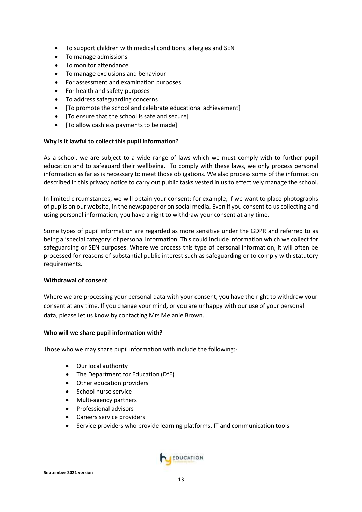- To support children with medical conditions, allergies and SEN
- To manage admissions
- To monitor attendance
- To manage exclusions and behaviour
- For assessment and examination purposes
- For health and safety purposes
- To address safeguarding concerns
- [To promote the school and celebrate educational achievement]
- [To ensure that the school is safe and secure]
- [To allow cashless payments to be made]

#### **Why is it lawful to collect this pupil information?**

As a school, we are subject to a wide range of laws which we must comply with to further pupil education and to safeguard their wellbeing. To comply with these laws, we only process personal information as far as is necessary to meet those obligations. We also process some of the information described in this privacy notice to carry out public tasks vested in us to effectively manage the school.

In limited circumstances, we will obtain your consent; for example, if we want to place photographs of pupils on our website, in the newspaper or on social media. Even if you consent to us collecting and using personal information, you have a right to withdraw your consent at any time.

Some types of pupil information are regarded as more sensitive under the GDPR and referred to as being a 'special category' of personal information. This could include information which we collect for safeguarding or SEN purposes. Where we process this type of personal information, it will often be processed for reasons of substantial public interest such as safeguarding or to comply with statutory requirements.

#### **Withdrawal of consent**

Where we are processing your personal data with your consent, you have the right to withdraw your consent at any time. If you change your mind, or you are unhappy with our use of your personal data, please let us know by contacting Mrs Melanie Brown.

#### **Who will we share pupil information with?**

Those who we may share pupil information with include the following:-

- Our local authority
- The Department for Education (DfE)
- Other education providers
- School nurse service
- Multi-agency partners
- Professional advisors
- Careers service providers
- Service providers who provide learning platforms, IT and communication tools

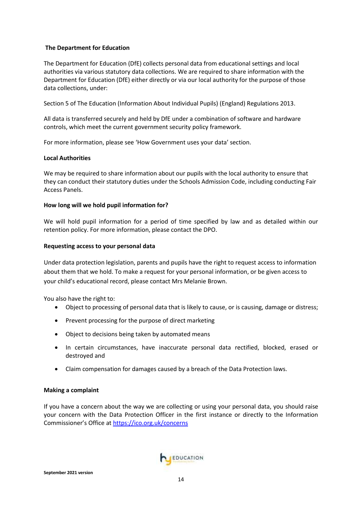# **The Department for Education**

The Department for Education (DfE) collects personal data from educational settings and local authorities via various statutory data collections. We are required to share information with the Department for Education (DfE) either directly or via our local authority for the purpose of those data collections, under:

Section 5 of The Education (Information About Individual Pupils) (England) Regulations 2013.

All data is transferred securely and held by DfE under a combination of software and hardware controls, which meet the current government security policy framework.

For more information, please see 'How Government uses your data' section.

#### **Local Authorities**

We may be required to share information about our pupils with the local authority to ensure that they can conduct their statutory duties under the Schools Admission Code, including conducting Fair Access Panels.

#### **How long will we hold pupil information for?**

We will hold pupil information for a period of time specified by law and as detailed within our retention policy. For more information, please contact the DPO.

# **Requesting access to your personal data**

Under data protection legislation, parents and pupils have the right to request access to information about them that we hold. To make a request for your personal information, or be given access to your child's educational record, please contact Mrs Melanie Brown.

You also have the right to:

- Object to processing of personal data that is likely to cause, or is causing, damage or distress;
- Prevent processing for the purpose of direct marketing
- Object to decisions being taken by automated means
- In certain circumstances, have inaccurate personal data rectified, blocked, erased or destroyed and
- Claim compensation for damages caused by a breach of the Data Protection laws.

#### **Making a complaint**

If you have a concern about the way we are collecting or using your personal data, you should raise your concern with the Data Protection Officer in the first instance or directly to the Information Commissioner's Office at <https://ico.org.uk/concerns>

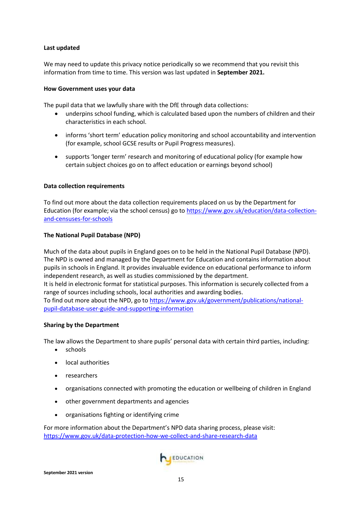# **Last updated**

We may need to update this privacy notice periodically so we recommend that you revisit this information from time to time. This version was last updated in **September 2021.**

#### **How Government uses your data**

The pupil data that we lawfully share with the DfE through data collections:

- underpins school funding, which is calculated based upon the numbers of children and their characteristics in each school.
- informs 'short term' education policy monitoring and school accountability and intervention (for example, school GCSE results or Pupil Progress measures).
- supports 'longer term' research and monitoring of educational policy (for example how certain subject choices go on to affect education or earnings beyond school)

#### **Data collection requirements**

To find out more about the data collection requirements placed on us by the Department for Education (for example; via the school census) go to [https://www.gov.uk/education/data-collection](https://www.gov.uk/education/data-collection-and-censuses-for-schools)[and-censuses-for-schools](https://www.gov.uk/education/data-collection-and-censuses-for-schools)

# **The National Pupil Database (NPD)**

Much of the data about pupils in England goes on to be held in the National Pupil Database (NPD). The NPD is owned and managed by the Department for Education and contains information about pupils in schools in England. It provides invaluable evidence on educational performance to inform independent research, as well as studies commissioned by the department. It is held in electronic format for statistical purposes. This information is securely collected from a range of sources including schools, local authorities and awarding bodies. To find out more about the NPD, go to [https://www.gov.uk/government/publications/national](https://www.gov.uk/government/publications/national-pupil-database-user-guide-and-supporting-information)[pupil-database-user-guide-and-supporting-information](https://www.gov.uk/government/publications/national-pupil-database-user-guide-and-supporting-information)

#### **Sharing by the Department**

The law allows the Department to share pupils' personal data with certain third parties, including:

- schools
- local authorities
- researchers
- organisations connected with promoting the education or wellbeing of children in England
- other government departments and agencies
- organisations fighting or identifying crime

For more information about the Department's NPD data sharing process, please visit: <https://www.gov.uk/data-protection-how-we-collect-and-share-research-data>

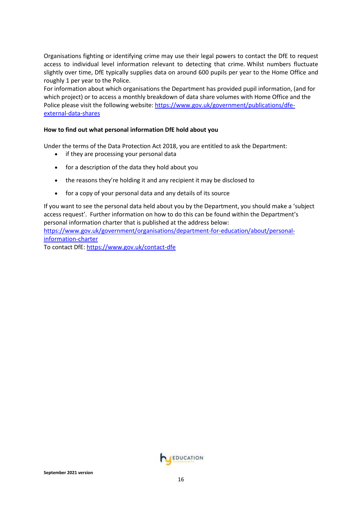Organisations fighting or identifying crime may use their legal powers to contact the DfE to request access to individual level information relevant to detecting that crime. Whilst numbers fluctuate slightly over time, DfE typically supplies data on around 600 pupils per year to the Home Office and roughly 1 per year to the Police.

For information about which organisations the Department has provided pupil information, (and for which project) or to access a monthly breakdown of data share volumes with Home Office and the Police please visit the following website[: https://www.gov.uk/government/publications/dfe](https://www.gov.uk/government/publications/dfe-external-data-shares)[external-data-shares](https://www.gov.uk/government/publications/dfe-external-data-shares)

# **How to find out what personal information DfE hold about you**

Under the terms of the Data Protection Act 2018, you are entitled to ask the Department:

- if they are processing your personal data
- for a description of the data they hold about you
- the reasons they're holding it and any recipient it may be disclosed to
- for a copy of your personal data and any details of its source

If you want to see the personal data held about you by the Department, you should make a 'subject access request'. Further information on how to do this can be found within the Department's personal information charter that is published at the address below: [https://www.gov.uk/government/organisations/department-for-education/about/personal-](https://www.gov.uk/government/organisations/department-for-education/about/personal-information-charter)

[information-charter](https://www.gov.uk/government/organisations/department-for-education/about/personal-information-charter)

To contact DfE[: https://www.gov.uk/contact-dfe](https://www.gov.uk/contact-dfe)

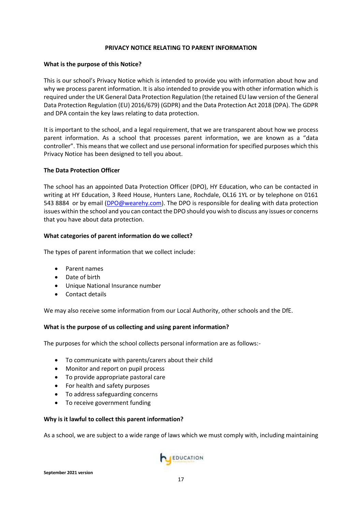#### **PRIVACY NOTICE RELATING TO PARENT INFORMATION**

#### **What is the purpose of this Notice?**

This is our school's Privacy Notice which is intended to provide you with information about how and why we process parent information. It is also intended to provide you with other information which is required under the UK General Data Protection Regulation (the retained EU law version of the General Data Protection Regulation (EU) 2016/679) (GDPR) and the Data Protection Act 2018 (DPA). The GDPR and DPA contain the key laws relating to data protection.

It is important to the school, and a legal requirement, that we are transparent about how we process parent information. As a school that processes parent information, we are known as a "data controller". This means that we collect and use personal information for specified purposes which this Privacy Notice has been designed to tell you about.

#### **The Data Protection Officer**

The school has an appointed Data Protection Officer (DPO), HY Education, who can be contacted in writing at HY Education, 3 Reed House, Hunters Lane, Rochdale, OL16 1YL or by telephone on 0161 543 8884 or by email [\(DPO@wearehy.com\)](mailto:DPO@wearehy.com). The DPO is responsible for dealing with data protection issues within the school and you can contact the DPO should you wish to discuss any issues or concerns that you have about data protection.

#### **What categories of parent information do we collect?**

The types of parent information that we collect include:

- Parent names
- Date of birth
- Unique National Insurance number
- Contact details

We may also receive some information from our Local Authority, other schools and the DfE.

#### **What is the purpose of us collecting and using parent information?**

The purposes for which the school collects personal information are as follows:-

- To communicate with parents/carers about their child
- Monitor and report on pupil process
- To provide appropriate pastoral care
- For health and safety purposes
- To address safeguarding concerns
- To receive government funding

#### **Why is it lawful to collect this parent information?**

As a school, we are subject to a wide range of laws which we must comply with, including maintaining

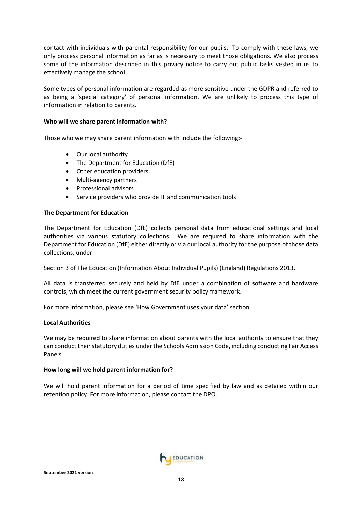contact with individuals with parental responsibility for our pupils. To comply with these laws, we only process personal information as far as is necessary to meet those obligations. We also process some of the information described in this privacy notice to carry out public tasks vested in us to effectively manage the school.

Some types of personal information are regarded as more sensitive under the GDPR and referred to as being a 'special category' of personal information. We are unlikely to process this type of information in relation to parents.

#### **Who will we share parent information with?**

Those who we may share parent information with include the following:-

- Our local authority
- The Department for Education (DfE)
- Other education providers
- Multi-agency partners
- Professional advisors
- Service providers who provide IT and communication tools

#### **The Department for Education**

The Department for Education (DfE) collects personal data from educational settings and local authorities via various statutory collections. We are required to share information with the Department for Education (DfE) either directly or via our local authority for the purpose of those data collections, under:

Section 3 of The Education (Information About Individual Pupils) (England) Regulations 2013.

All data is transferred securely and held by DfE under a combination of software and hardware controls, which meet the current government security policy framework.

For more information, please see 'How Government uses your data' section.

#### **Local Authorities**

We may be required to share information about parents with the local authority to ensure that they can conduct their statutory duties under the Schools Admission Code, including conducting Fair Access Panels.

#### **How long will we hold parent information for?**

We will hold parent information for a period of time specified by law and as detailed within our retention policy. For more information, please contact the DPO.